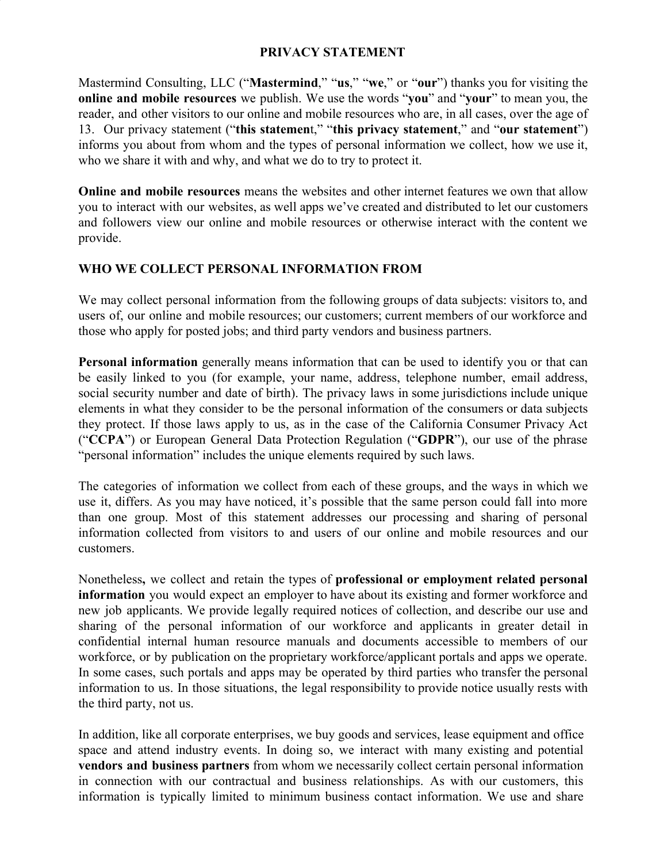### **PRIVACY STATEMENT**

Mastermind Consulting, LLC ("**Mastermind**," "**us**," "**we**," or "**our**") thanks you for visiting the **online and mobile resources** we publish. We use the words "**you**" and "**your**" to mean you, the reader, and other visitors to our online and mobile resources who are, in all cases, over the age of 13. Our privacy statement ("**this statemen**t," "**this privacy statement**," and "**our statement**") informs you about from whom and the types of personal information we collect, how we use it, who we share it with and why, and what we do to try to protect it.

**Online and mobile resources** means the websites and other internet features we own that allow you to interact with our websites, as well apps we've created and distributed to let our customers and followers view our online and mobile resources or otherwise interact with the content we provide.

## **WHO WE COLLECT PERSONAL INFORMATION FROM**

We may collect personal information from the following groups of data subjects: visitors to, and users of, our online and mobile resources; our customers; current members of our workforce and those who apply for posted jobs; and third party vendors and business partners.

**Personal information** generally means information that can be used to identify you or that can be easily linked to you (for example, your name, address, telephone number, email address, social security number and date of birth). The privacy laws in some jurisdictions include unique elements in what they consider to be the personal information of the consumers or data subjects they protect. If those laws apply to us, as in the case of the California Consumer Privacy Act ("**CCPA**") or European General Data Protection Regulation ("**GDPR**"), our use of the phrase "personal information" includes the unique elements required by such laws.

The categories of information we collect from each of these groups, and the ways in which we use it, differs. As you may have noticed, it's possible that the same person could fall into more than one group. Most of this statement addresses our processing and sharing of personal information collected from visitors to and users of our online and mobile resources and our customers.

Nonetheless**,** we collect and retain the types of **professional or employment related personal information** you would expect an employer to have about its existing and former workforce and new job applicants. We provide legally required notices of collection, and describe our use and sharing of the personal information of our workforce and applicants in greater detail in confidential internal human resource manuals and documents accessible to members of our workforce, or by publication on the proprietary workforce/applicant portals and apps we operate. In some cases, such portals and apps may be operated by third parties who transfer the personal information to us. In those situations, the legal responsibility to provide notice usually rests with the third party, not us.

In addition, like all corporate enterprises, we buy goods and services, lease equipment and office space and attend industry events. In doing so, we interact with many existing and potential **vendors and business partners** from whom we necessarily collect certain personal information in connection with our contractual and business relationships. As with our customers, this information is typically limited to minimum business contact information. We use and share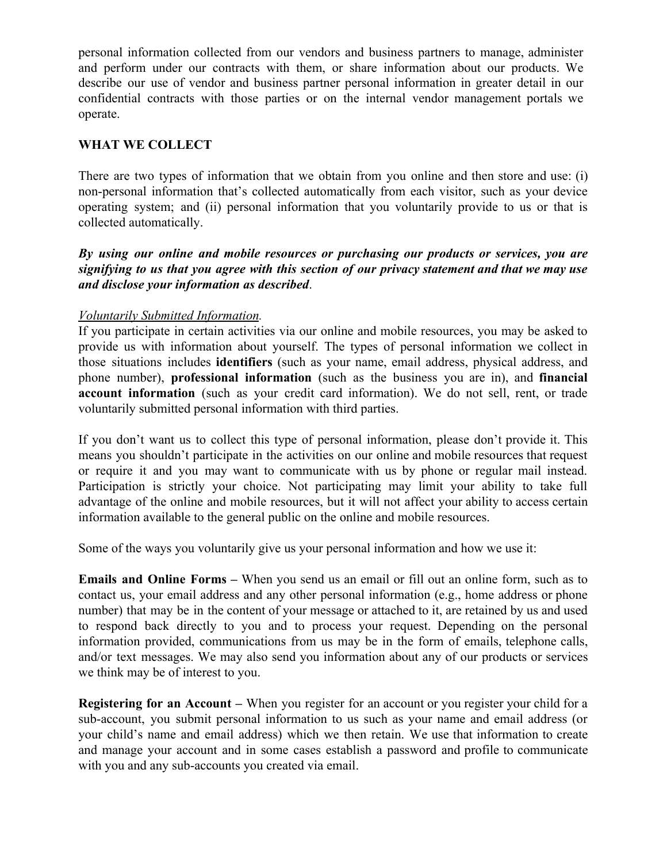personal information collected from our vendors and business partners to manage, administer and perform under our contracts with them, or share information about our products. We describe our use of vendor and business partner personal information in greater detail in our confidential contracts with those parties or on the internal vendor management portals we operate.

### **WHAT WE COLLECT**

There are two types of information that we obtain from you online and then store and use: (i) non-personal information that's collected automatically from each visitor, such as your device operating system; and (ii) personal information that you voluntarily provide to us or that is collected automatically.

*By using our online and mobile resources or purchasing our products or services, you are signifying to us that you agree with this section of our privacy statement and that we may use and disclose your information as described*.

### *Voluntarily Submitted Information.*

If you participate in certain activities via our online and mobile resources, you may be asked to provide us with information about yourself. The types of personal information we collect in those situations includes **identifiers** (such as your name, email address, physical address, and phone number), **professional information** (such as the business you are in), and **financial account information** (such as your credit card information). We do not sell, rent, or trade voluntarily submitted personal information with third parties.

If you don't want us to collect this type of personal information, please don't provide it. This means you shouldn't participate in the activities on our online and mobile resources that request or require it and you may want to communicate with us by phone or regular mail instead. Participation is strictly your choice. Not participating may limit your ability to take full advantage of the online and mobile resources, but it will not affect your ability to access certain information available to the general public on the online and mobile resources.

Some of the ways you voluntarily give us your personal information and how we use it:

**Emails and Online Forms –** When you send us an email or fill out an online form, such as to contact us, your email address and any other personal information (e.g., home address or phone number) that may be in the content of your message or attached to it, are retained by us and used to respond back directly to you and to process your request. Depending on the personal information provided, communications from us may be in the form of emails, telephone calls, and/or text messages. We may also send you information about any of our products or services we think may be of interest to you.

**Registering for an Account –** When you register for an account or you register your child for a sub-account, you submit personal information to us such as your name and email address (or your child's name and email address) which we then retain. We use that information to create and manage your account and in some cases establish a password and profile to communicate with you and any sub-accounts you created via email.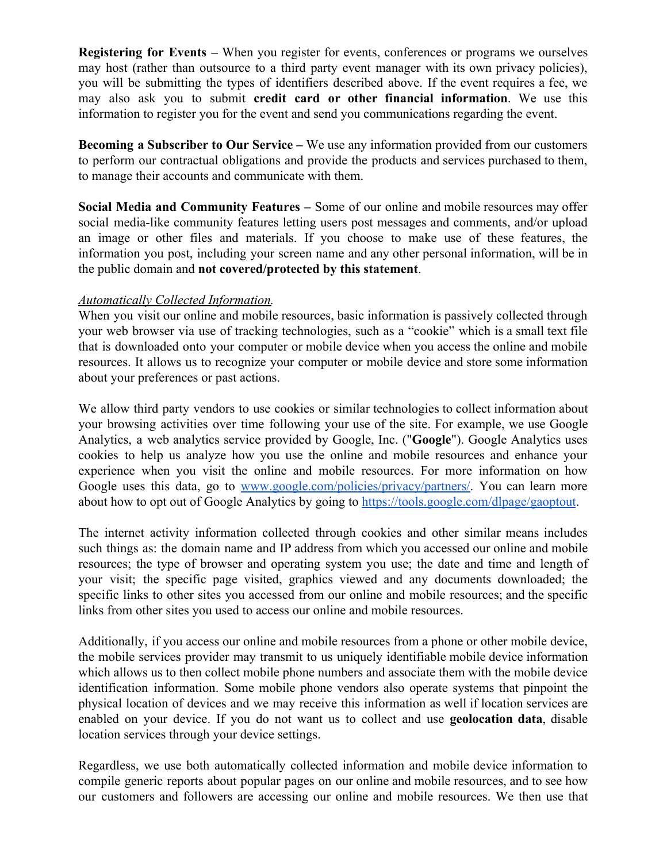**Registering for Events –** When you register for events, conferences or programs we ourselves may host (rather than outsource to a third party event manager with its own privacy policies), you will be submitting the types of identifiers described above. If the event requires a fee, we may also ask you to submit **credit card or other financial information**. We use this information to register you for the event and send you communications regarding the event.

**Becoming a Subscriber to Our Service –** We use any information provided from our customers to perform our contractual obligations and provide the products and services purchased to them, to manage their accounts and communicate with them.

**Social Media and Community Features –** Some of our online and mobile resources may offer social media-like community features letting users post messages and comments, and/or upload an image or other files and materials. If you choose to make use of these features, the information you post, including your screen name and any other personal information, will be in the public domain and **not covered/protected by this statement**.

### *Automatically Collected Information.*

When you visit our online and mobile resources, basic information is passively collected through your web browser via use of tracking technologies, such as a "cookie" which is a small text file that is downloaded onto your computer or mobile device when you access the online and mobile resources. It allows us to recognize your computer or mobile device and store some information about your preferences or past actions.

We allow third party vendors to use cookies or similar technologies to collect information about your browsing activities over time following your use of the site. For example, we use Google Analytics, a web analytics service provided by Google, Inc. ("**Google**"). Google Analytics uses cookies to help us analyze how you use the online and mobile resources and enhance your experience when you visit the online and mobile resources. For more information on how Google uses this data, go to [www.google.com/policies/privacy/partners/.](https://www.google.com/policies/privacy/partners/) You can learn more about how to opt out of Google Analytics by going to [https://tools.google.com/dlpage/gaoptout.](https://tools.google.com/dlpage/gaoptout)

The internet activity information collected through cookies and other similar means includes such things as: the domain name and IP address from which you accessed our online and mobile resources; the type of browser and operating system you use; the date and time and length of your visit; the specific page visited, graphics viewed and any documents downloaded; the specific links to other sites you accessed from our online and mobile resources; and the specific links from other sites you used to access our online and mobile resources.

Additionally, if you access our online and mobile resources from a phone or other mobile device, the mobile services provider may transmit to us uniquely identifiable mobile device information which allows us to then collect mobile phone numbers and associate them with the mobile device identification information. Some mobile phone vendors also operate systems that pinpoint the physical location of devices and we may receive this information as well if location services are enabled on your device. If you do not want us to collect and use **geolocation data**, disable location services through your device settings.

Regardless, we use both automatically collected information and mobile device information to compile generic reports about popular pages on our online and mobile resources, and to see how our customers and followers are accessing our online and mobile resources. We then use that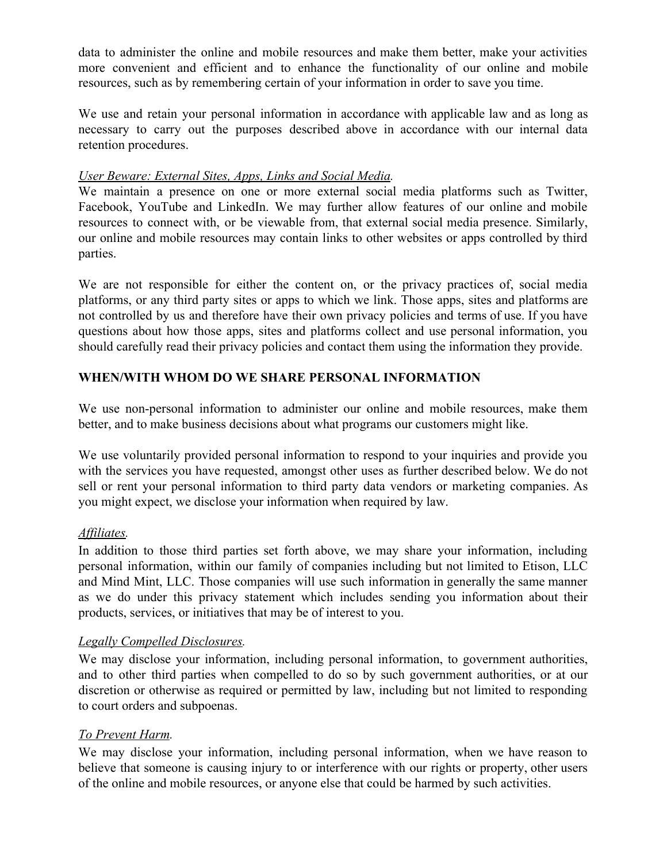data to administer the online and mobile resources and make them better, make your activities more convenient and efficient and to enhance the functionality of our online and mobile resources, such as by remembering certain of your information in order to save you time.

We use and retain your personal information in accordance with applicable law and as long as necessary to carry out the purposes described above in accordance with our internal data retention procedures.

# *User Beware: External Sites, Apps, Links and Social Media.*

We maintain a presence on one or more external social media platforms such as Twitter, Facebook, YouTube and LinkedIn. We may further allow features of our online and mobile resources to connect with, or be viewable from, that external social media presence. Similarly, our online and mobile resources may contain links to other websites or apps controlled by third parties.

We are not responsible for either the content on, or the privacy practices of, social media platforms, or any third party sites or apps to which we link. Those apps, sites and platforms are not controlled by us and therefore have their own privacy policies and terms of use. If you have questions about how those apps, sites and platforms collect and use personal information, you should carefully read their privacy policies and contact them using the information they provide.

# **WHEN/WITH WHOM DO WE SHARE PERSONAL INFORMATION**

We use non-personal information to administer our online and mobile resources, make them better, and to make business decisions about what programs our customers might like.

We use voluntarily provided personal information to respond to your inquiries and provide you with the services you have requested, amongst other uses as further described below. We do not sell or rent your personal information to third party data vendors or marketing companies. As you might expect, we disclose your information when required by law.

## *Affiliates.*

In addition to those third parties set forth above, we may share your information, including personal information, within our family of companies including but not limited to Etison, LLC and Mind Mint, LLC. Those companies will use such information in generally the same manner as we do under this privacy statement which includes sending you information about their products, services, or initiatives that may be of interest to you.

## *Legally Compelled Disclosures.*

We may disclose your information, including personal information, to government authorities, and to other third parties when compelled to do so by such government authorities, or at our discretion or otherwise as required or permitted by law, including but not limited to responding to court orders and subpoenas.

# *To Prevent Harm.*

We may disclose your information, including personal information, when we have reason to believe that someone is causing injury to or interference with our rights or property, other users of the online and mobile resources, or anyone else that could be harmed by such activities.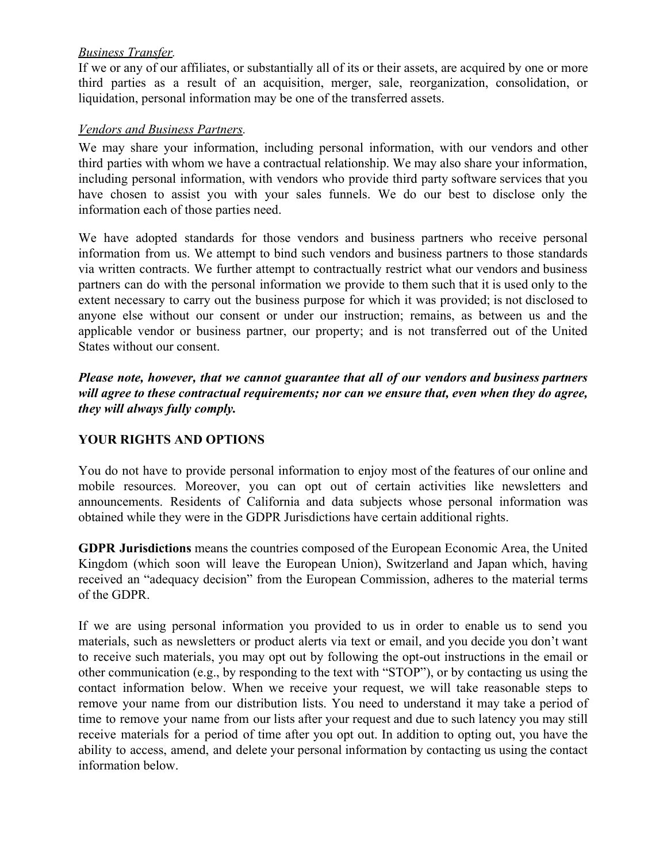# *Business Transfer.*

If we or any of our affiliates, or substantially all of its or their assets, are acquired by one or more third parties as a result of an acquisition, merger, sale, reorganization, consolidation, or liquidation, personal information may be one of the transferred assets.

## *Vendors and Business Partners.*

We may share your information, including personal information, with our vendors and other third parties with whom we have a contractual relationship. We may also share your information, including personal information, with vendors who provide third party software services that you have chosen to assist you with your sales funnels. We do our best to disclose only the information each of those parties need.

We have adopted standards for those vendors and business partners who receive personal information from us. We attempt to bind such vendors and business partners to those standards via written contracts. We further attempt to contractually restrict what our vendors and business partners can do with the personal information we provide to them such that it is used only to the extent necessary to carry out the business purpose for which it was provided; is not disclosed to anyone else without our consent or under our instruction; remains, as between us and the applicable vendor or business partner, our property; and is not transferred out of the United States without our consent.

*Please note, however, that we cannot guarantee that all of our vendors and business partners will agree to these contractual requirements; nor can we ensure that, even when they do agree, they will always fully comply.*

# **YOUR RIGHTS AND OPTIONS**

You do not have to provide personal information to enjoy most of the features of our online and mobile resources. Moreover, you can opt out of certain activities like newsletters and announcements. Residents of California and data subjects whose personal information was obtained while they were in the GDPR Jurisdictions have certain additional rights.

**GDPR Jurisdictions** means the countries composed of the European Economic Area, the United Kingdom (which soon will leave the European Union), Switzerland and Japan which, having received an "adequacy decision" from the European Commission, adheres to the material terms of the GDPR.

If we are using personal information you provided to us in order to enable us to send you materials, such as newsletters or product alerts via text or email, and you decide you don't want to receive such materials, you may opt out by following the opt-out instructions in the email or other communication (e.g., by responding to the text with "STOP"), or by contacting us using the contact information below. When we receive your request, we will take reasonable steps to remove your name from our distribution lists. You need to understand it may take a period of time to remove your name from our lists after your request and due to such latency you may still receive materials for a period of time after you opt out. In addition to opting out, you have the ability to access, amend, and delete your personal information by contacting us using the contact information below.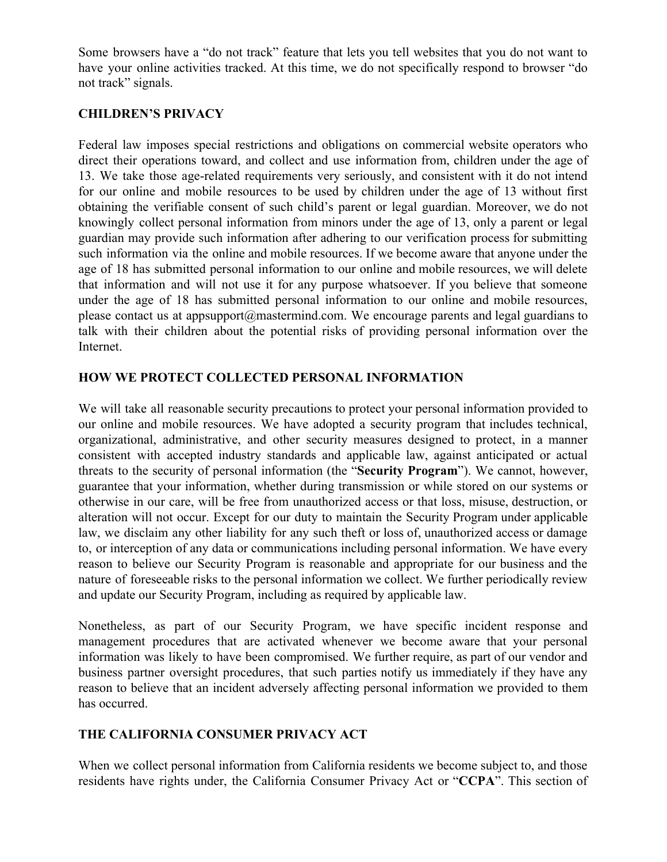Some browsers have a "do not track" feature that lets you tell websites that you do not want to have your online activities tracked. At this time, we do not specifically respond to browser "do not track" signals.

# **CHILDREN'S PRIVACY**

Federal law imposes special restrictions and obligations on commercial website operators who direct their operations toward, and collect and use information from, children under the age of 13. We take those age-related requirements very seriously, and consistent with it do not intend for our online and mobile resources to be used by children under the age of 13 without first obtaining the verifiable consent of such child's parent or legal guardian. Moreover, we do not knowingly collect personal information from minors under the age of 13, only a parent or legal guardian may provide such information after adhering to our verification process for submitting such information via the online and mobile resources. If we become aware that anyone under the age of 18 has submitted personal information to our online and mobile resources, we will delete that information and will not use it for any purpose whatsoever. If you believe that someone under the age of 18 has submitted personal information to our online and mobile resources, please contact us at appsupport@mastermind.com. We encourage parents and legal guardians to talk with their children about the potential risks of providing personal information over the Internet.

# **HOW WE PROTECT COLLECTED PERSONAL INFORMATION**

We will take all reasonable security precautions to protect your personal information provided to our online and mobile resources. We have adopted a security program that includes technical, organizational, administrative, and other security measures designed to protect, in a manner consistent with accepted industry standards and applicable law, against anticipated or actual threats to the security of personal information (the "**Security Program**"). We cannot, however, guarantee that your information, whether during transmission or while stored on our systems or otherwise in our care, will be free from unauthorized access or that loss, misuse, destruction, or alteration will not occur. Except for our duty to maintain the Security Program under applicable law, we disclaim any other liability for any such theft or loss of, unauthorized access or damage to, or interception of any data or communications including personal information. We have every reason to believe our Security Program is reasonable and appropriate for our business and the nature of foreseeable risks to the personal information we collect. We further periodically review and update our Security Program, including as required by applicable law.

Nonetheless, as part of our Security Program, we have specific incident response and management procedures that are activated whenever we become aware that your personal information was likely to have been compromised. We further require, as part of our vendor and business partner oversight procedures, that such parties notify us immediately if they have any reason to believe that an incident adversely affecting personal information we provided to them has occurred.

# **THE CALIFORNIA CONSUMER PRIVACY ACT**

When we collect personal information from California residents we become subject to, and those residents have rights under, the California Consumer Privacy Act or "**CCPA**". This section of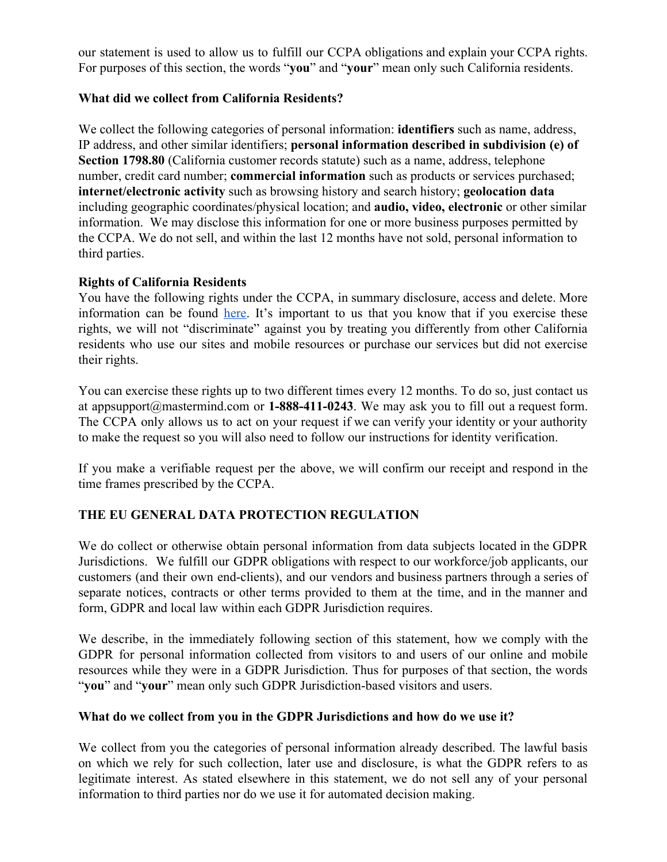our statement is used to allow us to fulfill our CCPA obligations and explain your CCPA rights. For purposes of this section, the words "**you**" and "**your**" mean only such California residents.

## **What did we collect from California Residents?**

We collect the following categories of personal information: **identifiers** such as name, address, IP address, and other similar identifiers; **personal information described in subdivision (e) of Section 1798.80** (California customer records statute) such as a name, address, telephone number, credit card number; **commercial information** such as products or services purchased; **internet/electronic activity** such as browsing history and search history; **geolocation data** including geographic coordinates/physical location; and **audio, video, electronic** or other similar information. We may disclose this information for one or more business purposes permitted by the CCPA. We do not sell, and within the last 12 months have not sold, personal information to third parties.

## **Rights of California Residents**

You have the following rights under the CCPA, in summary disclosure, access and delete. More information can be found [here](http://leginfo.legislature.ca.gov/faces/codes_displayText.xhtml?division=3.&part=4.&lawCode=CIV&title=1.81.5). It's important to us that you know that if you exercise these rights, we will not "discriminate" against you by treating you differently from other California residents who use our sites and mobile resources or purchase our services but did not exercise their rights.

You can exercise these rights up to two different times every 12 months. To do so, just contact us at appsupport@mastermind.com or **1-888-411-0243**. We may ask you to fill out a request form. The CCPA only allows us to act on your request if we can verify your identity or your authority to make the request so you will also need to follow our instructions for identity verification.

If you make a verifiable request per the above, we will confirm our receipt and respond in the time frames prescribed by the CCPA.

## **THE EU GENERAL DATA PROTECTION REGULATION**

We do collect or otherwise obtain personal information from data subjects located in the GDPR Jurisdictions. We fulfill our GDPR obligations with respect to our workforce/job applicants, our customers (and their own end-clients), and our vendors and business partners through a series of separate notices, contracts or other terms provided to them at the time, and in the manner and form, GDPR and local law within each GDPR Jurisdiction requires.

We describe, in the immediately following section of this statement, how we comply with the GDPR for personal information collected from visitors to and users of our online and mobile resources while they were in a GDPR Jurisdiction. Thus for purposes of that section, the words "**you**" and "**your**" mean only such GDPR Jurisdiction-based visitors and users.

#### **What do we collect from you in the GDPR Jurisdictions and how do we use it?**

We collect from you the categories of personal information already described. The lawful basis on which we rely for such collection, later use and disclosure, is what the GDPR refers to as legitimate interest. As stated elsewhere in this statement, we do not sell any of your personal information to third parties nor do we use it for automated decision making.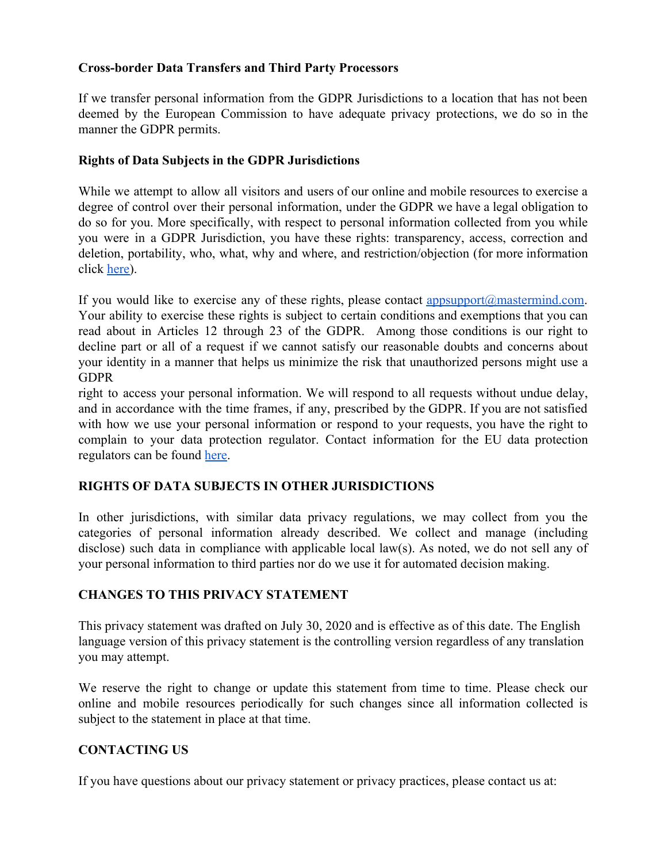### **Cross-border Data Transfers and Third Party Processors**

If we transfer personal information from the GDPR Jurisdictions to a location that has not been deemed by the European Commission to have adequate privacy protections, we do so in the manner the GDPR permits.

### **Rights of Data Subjects in the GDPR Jurisdictions**

While we attempt to allow all visitors and users of our online and mobile resources to exercise a degree of control over their personal information, under the GDPR we have a legal obligation to do so for you. More specifically, with respect to personal information collected from you while you were in a GDPR Jurisdiction, you have these rights: transparency, access, correction and deletion, portability, who, what, why and where, and restriction/objection (for more information click [here\)](https://gdpr-info.eu/chapter-3/).

If you would like to exercise any of these rights, please contact appsupport $\omega$ mastermind.com. Your ability to exercise these rights is subject to certain conditions and exemptions that you can read about in Articles 12 through 23 of the GDPR. Among those conditions is our right to decline part or all of a request if we cannot satisfy our reasonable doubts and concerns about your identity in a manner that helps us minimize the risk that unauthorized persons might use a **GDPR** 

right to access your personal information. We will respond to all requests without undue delay, and in accordance with the time frames, if any, prescribed by the GDPR. If you are not satisfied with how we use your personal information or respond to your requests, you have the right to complain to your data protection regulator. Contact information for the EU data protection regulators can be found [here](http://ec.europa.eu/newsroom/article29/item-detail.cfm?item_id=612080).

## **RIGHTS OF DATA SUBJECTS IN OTHER JURISDICTIONS**

In other jurisdictions, with similar data privacy regulations, we may collect from you the categories of personal information already described. We collect and manage (including disclose) such data in compliance with applicable local law(s). As noted, we do not sell any of your personal information to third parties nor do we use it for automated decision making.

## **CHANGES TO THIS PRIVACY STATEMENT**

This privacy statement was drafted on July 30, 2020 and is effective as of this date. The English language version of this privacy statement is the controlling version regardless of any translation you may attempt.

We reserve the right to change or update this statement from time to time. Please check our online and mobile resources periodically for such changes since all information collected is subject to the statement in place at that time.

# **CONTACTING US**

If you have questions about our privacy statement or privacy practices, please contact us at: